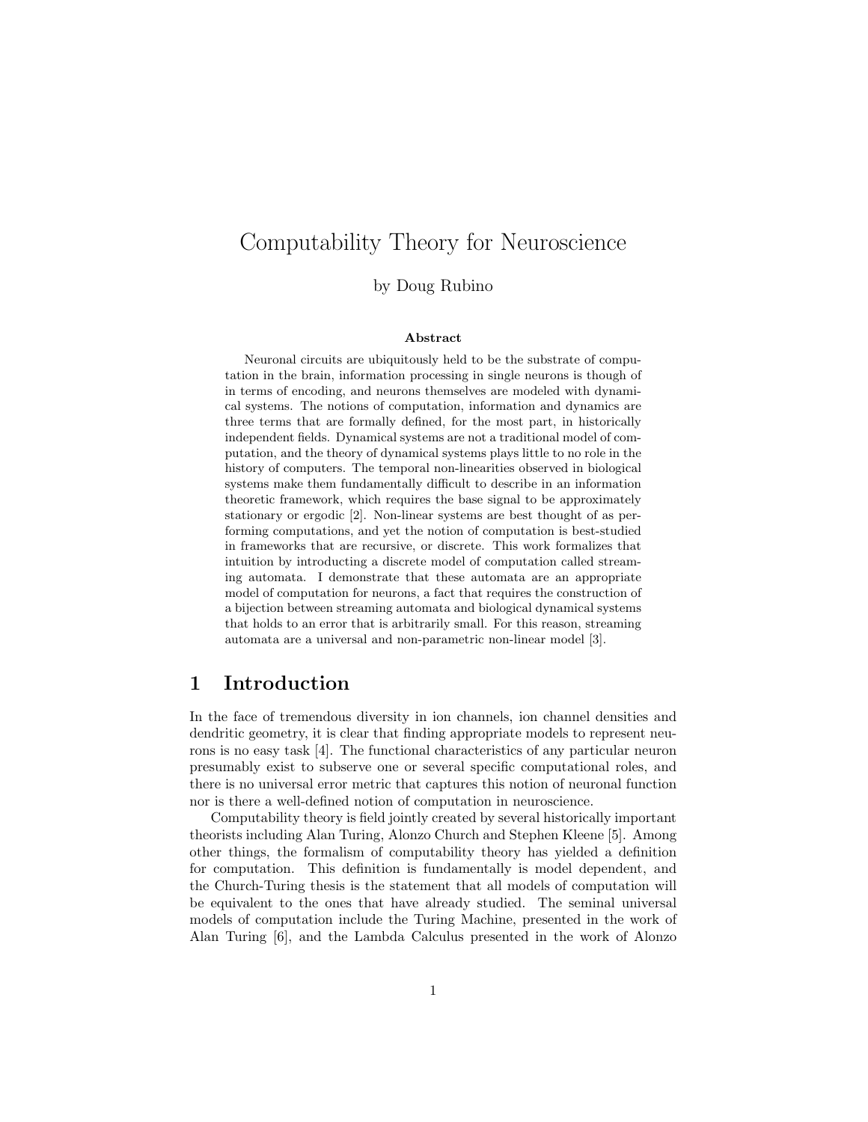# Computability Theory for Neuroscience

by Doug Rubino

#### Abstract

Neuronal circuits are ubiquitously held to be the substrate of computation in the brain, information processing in single neurons is though of in terms of encoding, and neurons themselves are modeled with dynamical systems. The notions of computation, information and dynamics are three terms that are formally defined, for the most part, in historically independent fields. Dynamical systems are not a traditional model of computation, and the theory of dynamical systems plays little to no role in the history of computers. The temporal non-linearities observed in biological systems make them fundamentally difficult to describe in an information theoretic framework, which requires the base signal to be approximately stationary or ergodic [2]. Non-linear systems are best thought of as performing computations, and yet the notion of computation is best-studied in frameworks that are recursive, or discrete. This work formalizes that intuition by introducting a discrete model of computation called streaming automata. I demonstrate that these automata are an appropriate model of computation for neurons, a fact that requires the construction of a bijection between streaming automata and biological dynamical systems that holds to an error that is arbitrarily small. For this reason, streaming automata are a universal and non-parametric non-linear model [3].

### 1 Introduction

In the face of tremendous diversity in ion channels, ion channel densities and dendritic geometry, it is clear that finding appropriate models to represent neurons is no easy task [4]. The functional characteristics of any particular neuron presumably exist to subserve one or several specific computational roles, and there is no universal error metric that captures this notion of neuronal function nor is there a well-defined notion of computation in neuroscience.

Computability theory is field jointly created by several historically important theorists including Alan Turing, Alonzo Church and Stephen Kleene [5]. Among other things, the formalism of computability theory has yielded a definition for computation. This definition is fundamentally is model dependent, and the Church-Turing thesis is the statement that all models of computation will be equivalent to the ones that have already studied. The seminal universal models of computation include the Turing Machine, presented in the work of Alan Turing [6], and the Lambda Calculus presented in the work of Alonzo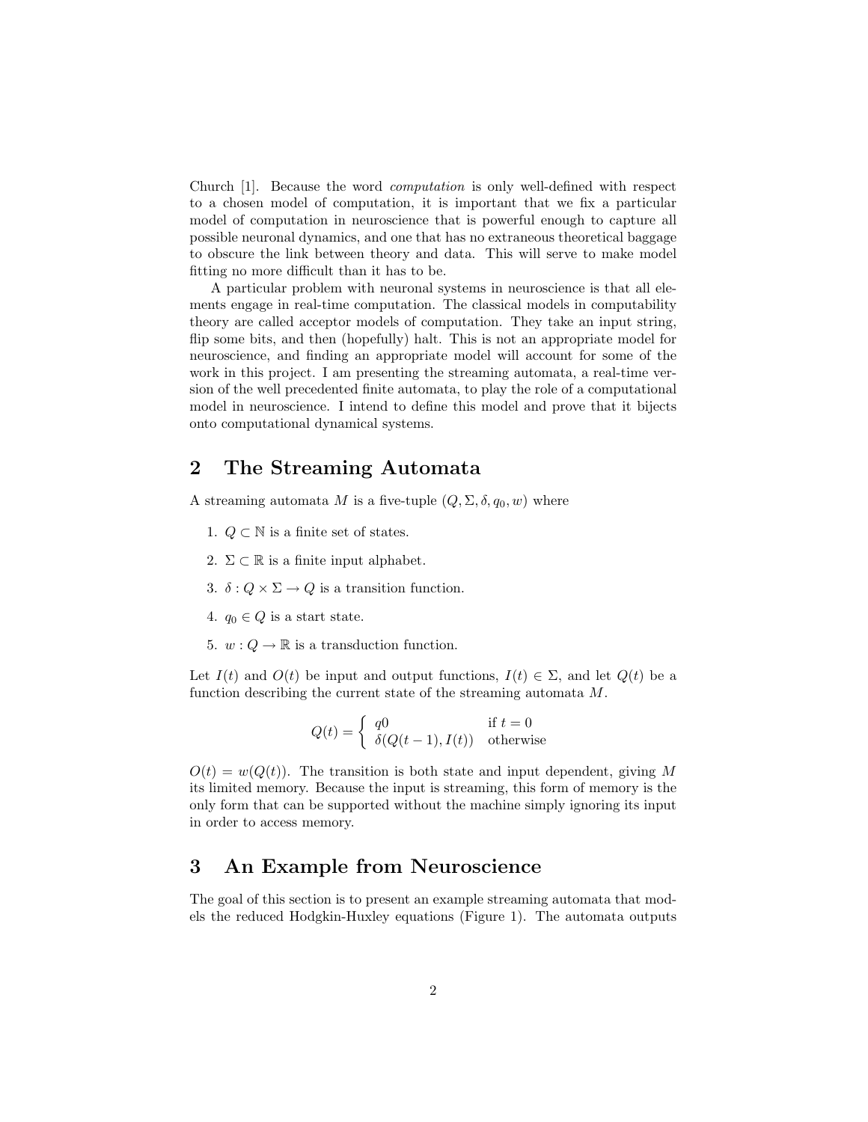Church [1]. Because the word computation is only well-defined with respect to a chosen model of computation, it is important that we fix a particular model of computation in neuroscience that is powerful enough to capture all possible neuronal dynamics, and one that has no extraneous theoretical baggage to obscure the link between theory and data. This will serve to make model fitting no more difficult than it has to be.

A particular problem with neuronal systems in neuroscience is that all elements engage in real-time computation. The classical models in computability theory are called acceptor models of computation. They take an input string, flip some bits, and then (hopefully) halt. This is not an appropriate model for neuroscience, and finding an appropriate model will account for some of the work in this project. I am presenting the streaming automata, a real-time version of the well precedented finite automata, to play the role of a computational model in neuroscience. I intend to define this model and prove that it bijects onto computational dynamical systems.

#### 2 The Streaming Automata

A streaming automata M is a five-tuple  $(Q, \Sigma, \delta, q_0, w)$  where

- 1.  $Q \subset \mathbb{N}$  is a finite set of states.
- 2.  $\Sigma \subset \mathbb{R}$  is a finite input alphabet.
- 3.  $\delta: Q \times \Sigma \rightarrow Q$  is a transition function.
- 4.  $q_0 \in Q$  is a start state.
- 5.  $w: Q \to \mathbb{R}$  is a transduction function.

Let  $I(t)$  and  $O(t)$  be input and output functions,  $I(t) \in \Sigma$ , and let  $Q(t)$  be a function describing the current state of the streaming automata M.

$$
Q(t) = \begin{cases} q0 & \text{if } t = 0\\ \delta(Q(t-1), I(t)) & \text{otherwise} \end{cases}
$$

 $O(t) = w(Q(t))$ . The transition is both state and input dependent, giving M its limited memory. Because the input is streaming, this form of memory is the only form that can be supported without the machine simply ignoring its input in order to access memory.

#### 3 An Example from Neuroscience

The goal of this section is to present an example streaming automata that models the reduced Hodgkin-Huxley equations (Figure 1). The automata outputs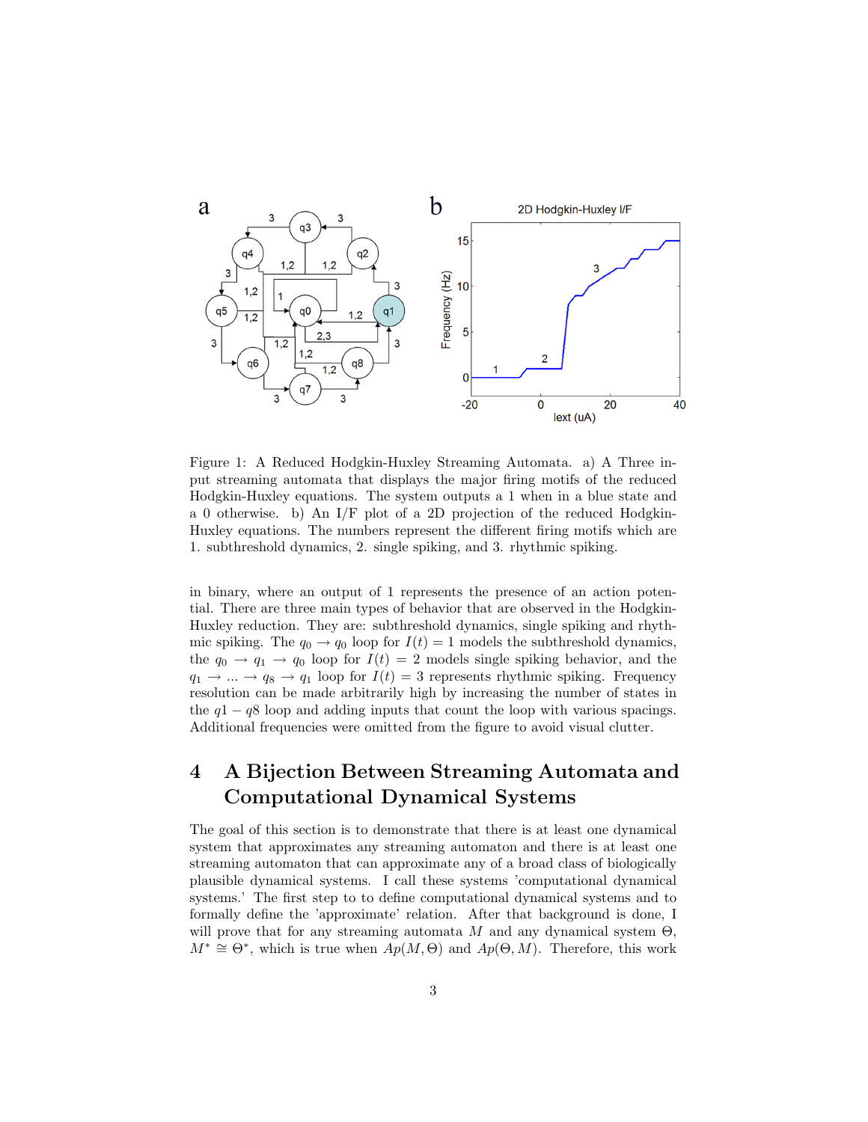

Figure 1: A Reduced Hodgkin-Huxley Streaming Automata. a) A Three input streaming automata that displays the major firing motifs of the reduced Hodgkin-Huxley equations. The system outputs a 1 when in a blue state and a 0 otherwise. b) An I/F plot of a 2D projection of the reduced Hodgkin-Huxley equations. The numbers represent the different firing motifs which are 1. subthreshold dynamics, 2. single spiking, and 3. rhythmic spiking.

in binary, where an output of 1 represents the presence of an action potential. There are three main types of behavior that are observed in the Hodgkin-Huxley reduction. They are: subthreshold dynamics, single spiking and rhythmic spiking. The  $q_0 \rightarrow q_0$  loop for  $I(t) = 1$  models the subthreshold dynamics, the  $q_0 \rightarrow q_1 \rightarrow q_0$  loop for  $I(t) = 2$  models single spiking behavior, and the  $q_1 \rightarrow \dots \rightarrow q_8 \rightarrow q_1$  loop for  $I(t) = 3$  represents rhythmic spiking. Frequency resolution can be made arbitrarily high by increasing the number of states in the  $q1 - q8$  loop and adding inputs that count the loop with various spacings. Additional frequencies were omitted from the figure to avoid visual clutter.

# 4 A Bijection Between Streaming Automata and Computational Dynamical Systems

The goal of this section is to demonstrate that there is at least one dynamical system that approximates any streaming automaton and there is at least one streaming automaton that can approximate any of a broad class of biologically plausible dynamical systems. I call these systems 'computational dynamical systems.' The first step to to define computational dynamical systems and to formally define the 'approximate' relation. After that background is done, I will prove that for any streaming automata M and any dynamical system  $\Theta$ ,  $M^* \cong \Theta^*$ , which is true when  $\overrightarrow{Ap}(M, \Theta)$  and  $Ap(\Theta, M)$ . Therefore, this work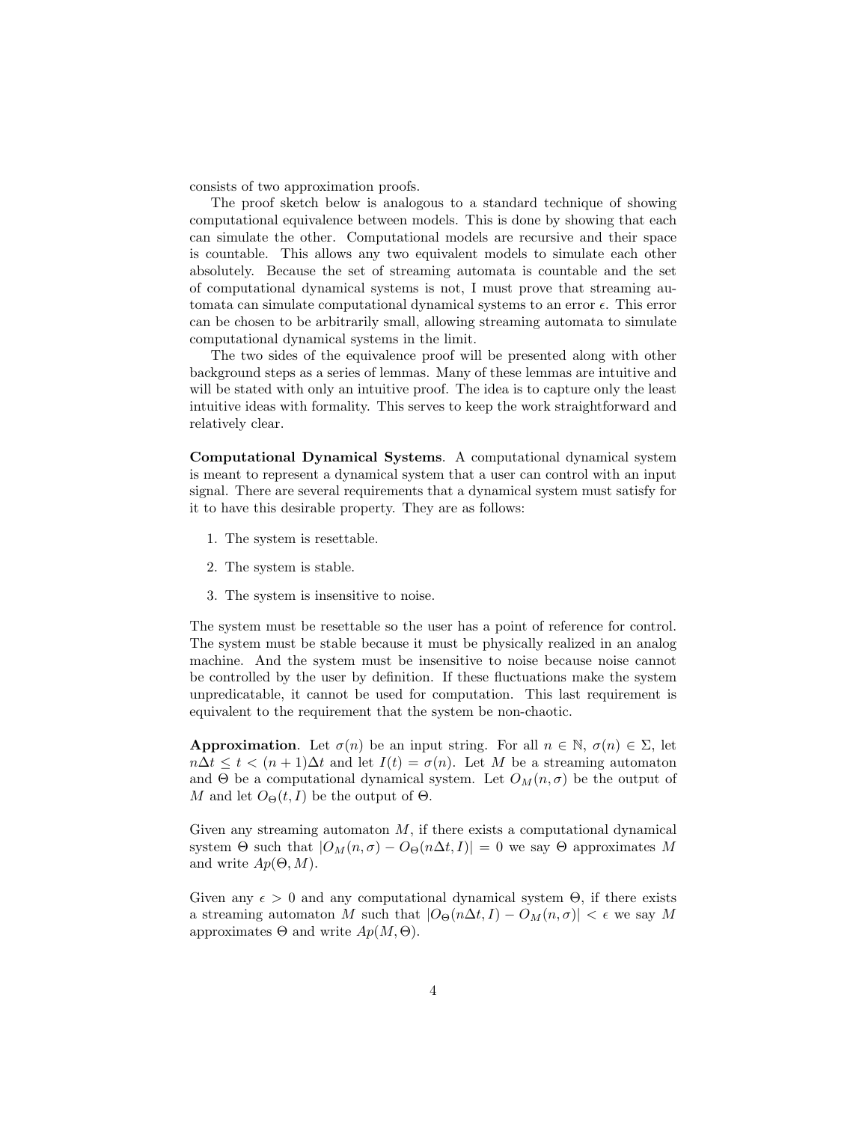consists of two approximation proofs.

The proof sketch below is analogous to a standard technique of showing computational equivalence between models. This is done by showing that each can simulate the other. Computational models are recursive and their space is countable. This allows any two equivalent models to simulate each other absolutely. Because the set of streaming automata is countable and the set of computational dynamical systems is not, I must prove that streaming automata can simulate computational dynamical systems to an error  $\epsilon$ . This error can be chosen to be arbitrarily small, allowing streaming automata to simulate computational dynamical systems in the limit.

The two sides of the equivalence proof will be presented along with other background steps as a series of lemmas. Many of these lemmas are intuitive and will be stated with only an intuitive proof. The idea is to capture only the least intuitive ideas with formality. This serves to keep the work straightforward and relatively clear.

Computational Dynamical Systems. A computational dynamical system is meant to represent a dynamical system that a user can control with an input signal. There are several requirements that a dynamical system must satisfy for it to have this desirable property. They are as follows:

- 1. The system is resettable.
- 2. The system is stable.
- 3. The system is insensitive to noise.

The system must be resettable so the user has a point of reference for control. The system must be stable because it must be physically realized in an analog machine. And the system must be insensitive to noise because noise cannot be controlled by the user by definition. If these fluctuations make the system unpredicatable, it cannot be used for computation. This last requirement is equivalent to the requirement that the system be non-chaotic.

**Approximation.** Let  $\sigma(n)$  be an input string. For all  $n \in \mathbb{N}$ ,  $\sigma(n) \in \Sigma$ , let  $n\Delta t \leq t < (n+1)\Delta t$  and let  $I(t) = \sigma(n)$ . Let M be a streaming automaton and  $\Theta$  be a computational dynamical system. Let  $O_M(n, \sigma)$  be the output of M and let  $O_{\Theta}(t, I)$  be the output of  $\Theta$ .

Given any streaming automaton  $M$ , if there exists a computational dynamical system  $\Theta$  such that  $|O_M(n, \sigma) - O_{\Theta}(n\Delta t, I)| = 0$  we say  $\Theta$  approximates M and write  $Ap(\Theta, M)$ .

Given any  $\epsilon > 0$  and any computational dynamical system  $\Theta$ , if there exists a streaming automaton M such that  $|O_{\Theta}(n\Delta t, I) - O_M(n, \sigma)| < \epsilon$  we say M approximates  $\Theta$  and write  $Ap(M, \Theta)$ .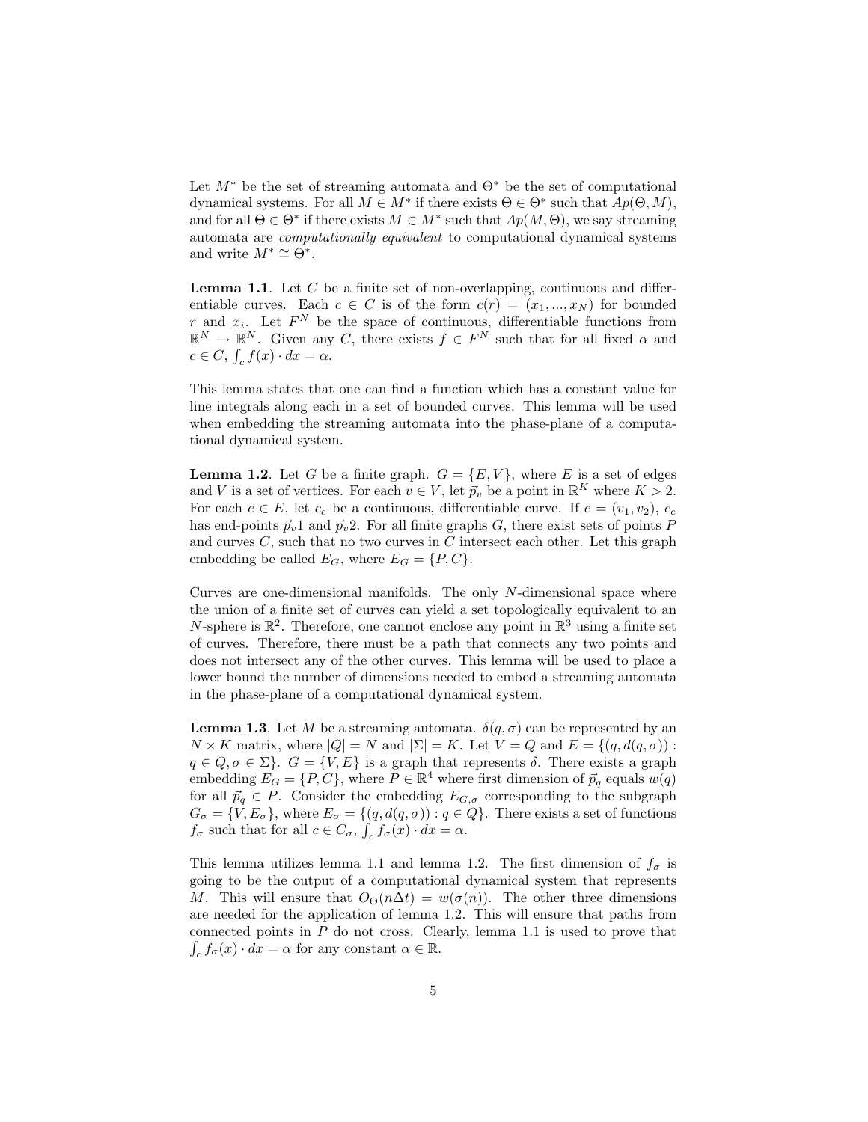Let  $M^*$  be the set of streaming automata and  $\Theta^*$  be the set of computational dynamical systems. For all  $M \in M^*$  if there exists  $\Theta \in \Theta^*$  such that  $Ap(\Theta, M)$ , and for all  $\Theta \in \Theta^*$  if there exists  $M \in M^*$  such that  $Ap(M, \Theta)$ , we say streaming automata are computationally equivalent to computational dynamical systems and write  $M^* \cong \mathbb{O}^*$ .

**Lemma 1.1.** Let  $C$  be a finite set of non-overlapping, continuous and differentiable curves. Each  $c \in C$  is of the form  $c(r) = (x_1, ..., x_N)$  for bounded r and  $x_i$ . Let  $F^N$  be the space of continuous, differentiable functions from  $\mathbb{R}^N \to \mathbb{R}^N$ . Given any C, there exists  $f \in F^N$  such that for all fixed  $\alpha$  and  $c \in C$ ,  $\int_c f(x) \cdot dx = \alpha$ .

This lemma states that one can find a function which has a constant value for line integrals along each in a set of bounded curves. This lemma will be used when embedding the streaming automata into the phase-plane of a computational dynamical system.

**Lemma 1.2.** Let G be a finite graph.  $G = \{E, V\}$ , where E is a set of edges and V is a set of vertices. For each  $v \in V$ , let  $\vec{p}_v$  be a point in  $\mathbb{R}^K$  where  $K > 2$ . For each  $e \in E$ , let  $c_e$  be a continuous, differentiable curve. If  $e = (v_1, v_2)$ ,  $c_e$ has end-points  $\vec{p}_v$ 1 and  $\vec{p}_v$ 2. For all finite graphs G, there exist sets of points P and curves  $C$ , such that no two curves in  $C$  intersect each other. Let this graph embedding be called  $E_G$ , where  $E_G = \{P, C\}.$ 

Curves are one-dimensional manifolds. The only N-dimensional space where the union of a finite set of curves can yield a set topologically equivalent to an N-sphere is  $\mathbb{R}^2$ . Therefore, one cannot enclose any point in  $\mathbb{R}^3$  using a finite set of curves. Therefore, there must be a path that connects any two points and does not intersect any of the other curves. This lemma will be used to place a lower bound the number of dimensions needed to embed a streaming automata in the phase-plane of a computational dynamical system.

**Lemma 1.3.** Let M be a streaming automata.  $\delta(q, \sigma)$  can be represented by an  $N \times K$  matrix, where  $|Q| = N$  and  $|\Sigma| = K$ . Let  $V = Q$  and  $E = \{(q, d(q, \sigma))$ :  $q \in Q, \sigma \in \Sigma$ .  $G = \{V, E\}$  is a graph that represents  $\delta$ . There exists a graph embedding  $E_G = \{P, C\}$ , where  $P \in \mathbb{R}^4$  where first dimension of  $\vec{p}_q$  equals  $w(q)$ for all  $~\vec{p}_q \in P$ . Consider the embedding  $E_{G,\sigma}$  corresponding to the subgraph  $G_{\sigma} = \{V, E_{\sigma}\}\$ , where  $E_{\sigma} = \{(q, d(q, \sigma)) : q \in Q\}$ . There exists a set of functions  $f_{\sigma}$  such that for all  $c \in C_{\sigma}$ ,  $\int_{c} f_{\sigma}(x) \cdot dx = \alpha$ .

This lemma utilizes lemma 1.1 and lemma 1.2. The first dimension of  $f_{\sigma}$  is going to be the output of a computational dynamical system that represents M. This will ensure that  $O_{\Theta}(n\Delta t) = w(\sigma(n))$ . The other three dimensions are needed for the application of lemma 1.2. This will ensure that paths from connected points in  $P$  do not cross. Clearly, lemma 1.1 is used to prove that  $\int_c f_\sigma(x) \cdot dx = \alpha$  for any constant  $\alpha \in \mathbb{R}$ .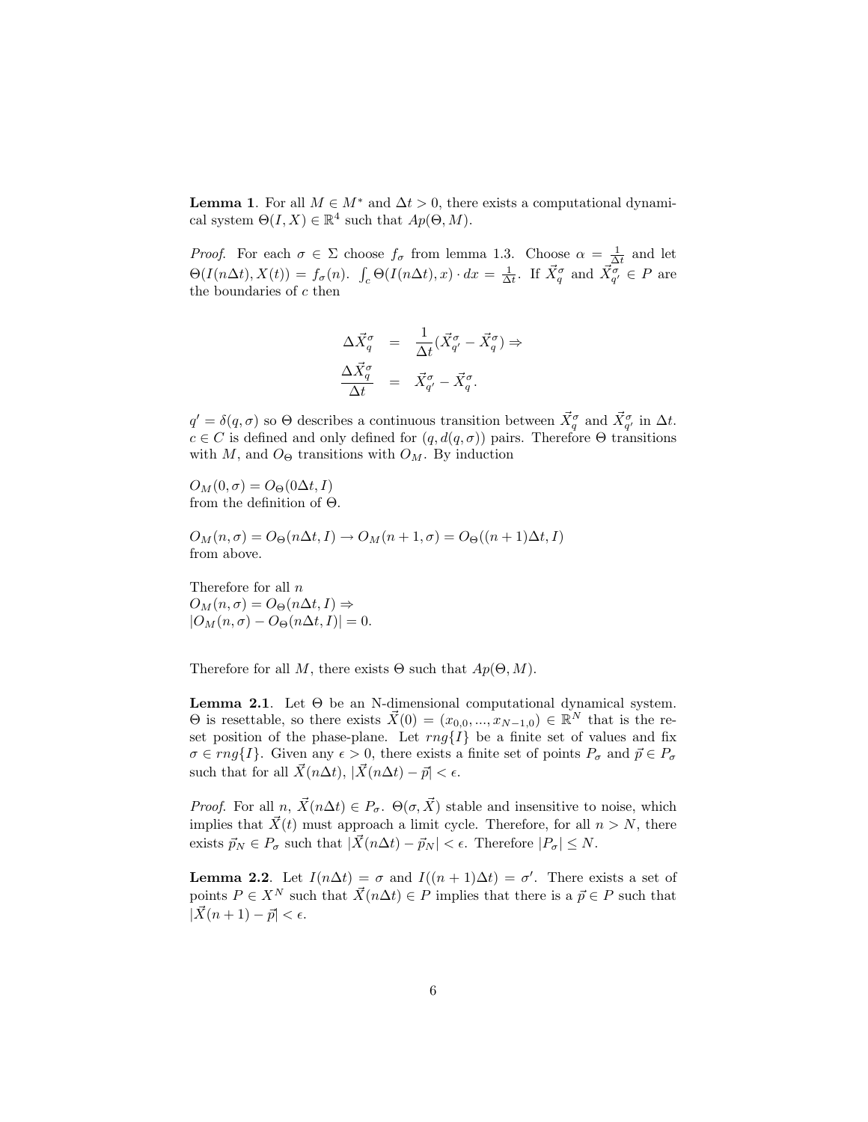**Lemma 1.** For all  $M \in M^*$  and  $\Delta t > 0$ , there exists a computational dynamical system  $\Theta(I, X) \in \mathbb{R}^4$  such that  $Ap(\Theta, M)$ .

*Proof.* For each  $\sigma \in \Sigma$  choose  $f_{\sigma}$  from lemma 1.3. Choose  $\alpha = \frac{1}{\Delta t}$  and let  $\Theta(I(n\Delta t), X(t)) = f_{\sigma}(n)$ .  $\int_{c} \Theta(I(n\Delta t), x) \cdot dx = \frac{1}{\Delta t}$ . If  $\vec{X}_{q}^{\sigma}$  and  $\vec{X}_{q'}^{\sigma} \in P$  are the boundaries of  $c$  then

$$
\begin{array}{rcl}\n\Delta \vec{X}_q^{\sigma} &=& \frac{1}{\Delta t} (\vec{X}_{q'}^{\sigma} - \vec{X}_q^{\sigma}) \Rightarrow \\
\frac{\Delta \vec{X}_q^{\sigma}}{\Delta t} &=& \vec{X}_{q'}^{\sigma} - \vec{X}_q^{\sigma}.\n\end{array}
$$

 $q' = \delta(q, \sigma)$  so  $\Theta$  describes a continuous transition between  $\vec{X}_q^{\sigma}$  and  $\vec{X}_{q'}^{\sigma}$  in  $\Delta t$ .  $c \in C$  is defined and only defined for  $(q, d(q, \sigma))$  pairs. Therefore  $\Theta$  transitions with M, and  $O_{\Theta}$  transitions with  $O_M$ . By induction

 $O_M(0, \sigma) = O_{\Theta}(0\Delta t, I)$ from the definition of Θ.

$$
O_M(n, \sigma) = O_{\Theta}(n\Delta t, I) \rightarrow O_M(n + 1, \sigma) = O_{\Theta}((n + 1)\Delta t, I)
$$
 from above.

Therefore for all n  $O_M(n, \sigma) = O_{\Theta}(n \Delta t, I) \Rightarrow$  $|O_M(n, \sigma) - O_{\Theta}(n\Delta t, I)| = 0.$ 

Therefore for all M, there exists  $\Theta$  such that  $Ap(\Theta, M)$ .

**Lemma 2.1.** Let  $\Theta$  be an N-dimensional computational dynamical system.  $\Theta$  is resettable, so there exists  $\vec{X}(0) = (x_{0,0},..., x_{N-1,0}) \in \mathbb{R}^N$  that is the reset position of the phase-plane. Let  $rng\{I\}$  be a finite set of values and fix  $\sigma \in rng\{I\}.$  Given any  $\epsilon > 0$ , there exists a finite set of points  $P_{\sigma}$  and  $\vec{p} \in P_{\sigma}$ such that for all  $\vec{X} (n\Delta t)$ ,  $|\vec{X}(n\Delta t) - \vec{p}| < \epsilon$ .

*Proof.* For all  $n, \overrightarrow{X}(n\Delta t) \in P_{\sigma}$ .  $\Theta(\sigma, \overrightarrow{X})$  stable and insensitive to noise, which implies that  $\vec{X}(t)$  must approach a limit cycle. Therefore, for all  $n > N$ , there exists  $\vec{p}_N \in P_{\sigma}$  such that  $|\vec{X}(n\Delta t) - \vec{p}_N| < \epsilon$ . Therefore  $|P_{\sigma}| \leq N$ .

**Lemma 2.2.** Let  $I(n\Delta t) = \sigma$  and  $I((n+1)\Delta t) = \sigma'$ . There exists a set of points  $P \in X^N$  such that  $\vec{X}(n\Delta t) \in P$  implies that there is a  $\vec{p} \in P$  such that  $|\vec{X}(n + 1) - \vec{p}| < \epsilon.$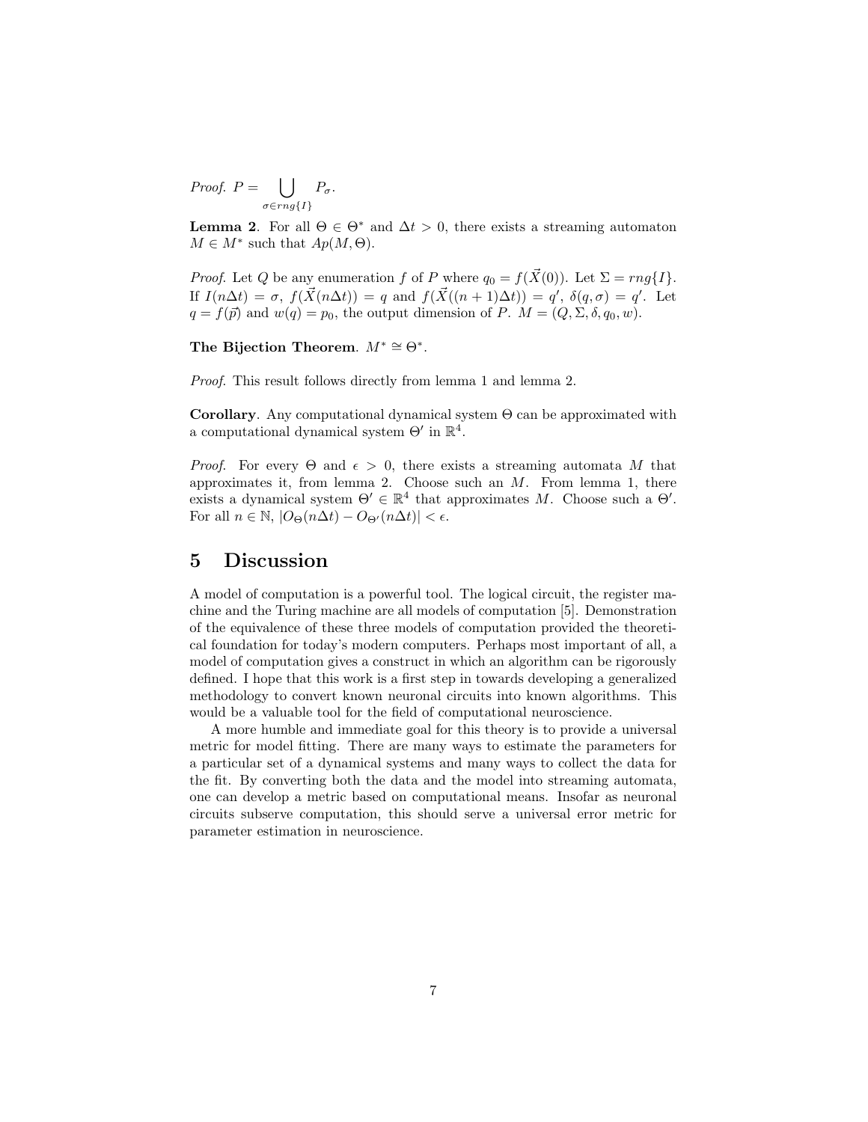Proof.  $P = \begin{bmatrix} \end{bmatrix}$  $\sigma \in rng\{I\}$  $P_{\sigma}$ .

**Lemma 2.** For all  $\Theta \in \Theta^*$  and  $\Delta t > 0$ , there exists a streaming automaton  $M \in M^*$  such that  $Ap(M, \Theta)$ .

*Proof.* Let Q be any enumeration f of P where  $q_0 = f(\vec{X}(0))$ . Let  $\Sigma = rng\{I\}$ . If  $I(n\Delta t) = \sigma$ ,  $f(\vec{X}(n\Delta t)) = q$  and  $f(\vec{X}((n+1)\Delta t)) = q'$ ,  $\delta(q, \sigma) = q'$ . Let  $q = f(\vec{p})$  and  $w(q) = p_0$ , the output dimension of P.  $M = (Q, \Sigma, \delta, q_0, w)$ .

The Bijection Theorem.  $M^* \cong \Theta^*$ .

Proof. This result follows directly from lemma 1 and lemma 2.

Corollary. Any computational dynamical system  $\Theta$  can be approximated with a computational dynamical system  $\Theta'$  in  $\mathbb{R}^4$ .

*Proof.* For every  $\Theta$  and  $\epsilon > 0$ , there exists a streaming automata M that approximates it, from lemma 2. Choose such an  $M$ . From lemma 1, there exists a dynamical system  $\Theta' \in \mathbb{R}^4$  that approximates M. Choose such a  $\Theta'$ . For all  $n \in \mathbb{N}$ ,  $|O_{\Theta}(n\Delta t) - O_{\Theta}(n\Delta t)| < \epsilon$ .

#### 5 Discussion

A model of computation is a powerful tool. The logical circuit, the register machine and the Turing machine are all models of computation [5]. Demonstration of the equivalence of these three models of computation provided the theoretical foundation for today's modern computers. Perhaps most important of all, a model of computation gives a construct in which an algorithm can be rigorously defined. I hope that this work is a first step in towards developing a generalized methodology to convert known neuronal circuits into known algorithms. This would be a valuable tool for the field of computational neuroscience.

A more humble and immediate goal for this theory is to provide a universal metric for model fitting. There are many ways to estimate the parameters for a particular set of a dynamical systems and many ways to collect the data for the fit. By converting both the data and the model into streaming automata, one can develop a metric based on computational means. Insofar as neuronal circuits subserve computation, this should serve a universal error metric for parameter estimation in neuroscience.